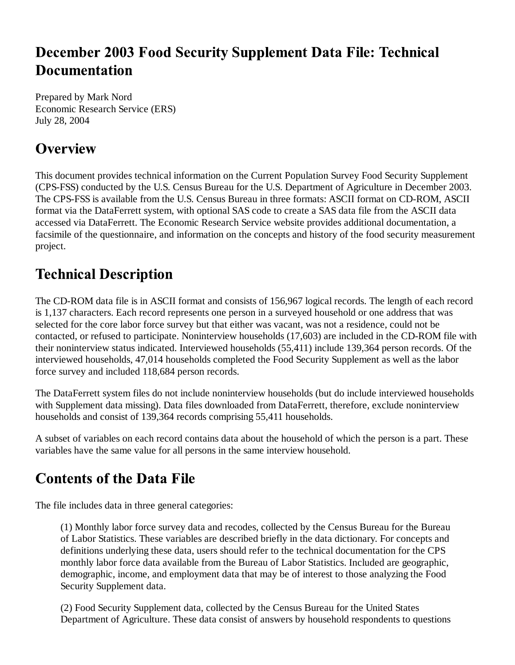## **December 2003 Food Security Supplement Data File: Technical Documentation**

Prepared by Mark Nord Economic Research Service (ERS) July 28, 2004

## **Overview**

This document provides technical information on the Current Population Survey Food Security Supplement (CPS-FSS) conducted by the U.S. Census Bureau for the U.S. Department of Agriculture in December 2003. The CPS-FSS is available from the U.S. Census Bureau in three formats: ASCII format on CD-ROM, ASCII format via the DataFerrett system, with optional SAS code to create a SAS data file from the ASCII data accessed via DataFerrett. The Economic Research Service website provides additional documentation, a facsimile of the questionnaire, and information on the concepts and history of the food security measurement project.

## **Technical Description**

The CD-ROM data file is in ASCII format and consists of 156,967 logical records. The length of each record is 1,137 characters. Each record represents one person in a surveyed household or one address that was selected for the core labor force survey but that either was vacant, was not a residence, could not be contacted, or refused to participate. Noninterview households (17,603) are included in the CD-ROM file with their noninterview status indicated. Interviewed households (55,411) include 139,364 person records. Of the interviewed households, 47,014 households completed the Food Security Supplement as well as the labor force survey and included 118,684 person records.

The DataFerrett system files do not include noninterview households (but do include interviewed households with Supplement data missing). Data files downloaded from DataFerrett, therefore, exclude noninterview households and consist of 139,364 records comprising 55,411 households.

A subset of variables on each record contains data about the household of which the person is a part. These variables have the same value for all persons in the same interview household.

## **Contents of the Data File**

The file includes data in three general categories:

(1) Monthly labor force survey data and recodes, collected by the Census Bureau for the Bureau of Labor Statistics. These variables are described briefly in the data dictionary. For concepts and definitions underlying these data, users should refer to the technical documentation for the CPS monthly labor force data available from the Bureau of Labor Statistics. Included are geographic, demographic, income, and employment data that may be of interest to those analyzing the Food Security Supplement data.

(2) Food Security Supplement data, collected by the Census Bureau for the United States Department of Agriculture. These data consist of answers by household respondents to questions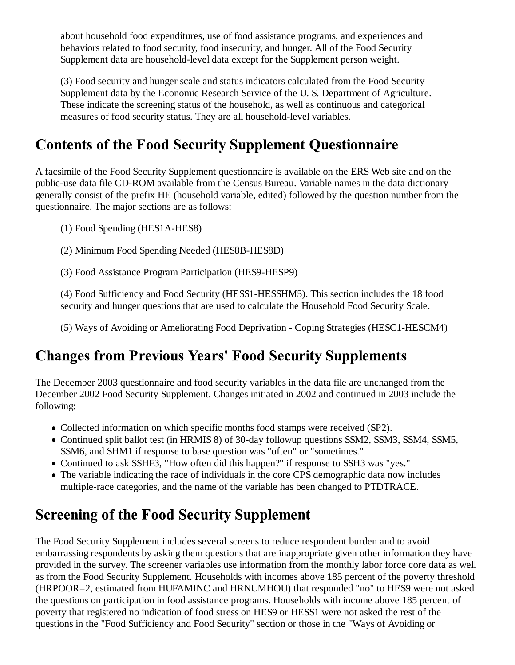about household food expenditures, use of food assistance programs, and experiences and behaviors related to food security, food insecurity, and hunger. All of the Food Security Supplement data are household-level data except for the Supplement person weight.

(3) Food security and hunger scale and status indicators calculated from the Food Security Supplement data by the Economic Research Service of the U. S. Department of Agriculture. These indicate the screening status of the household, as well as continuous and categorical measures of food security status. They are all household-level variables.

## **Contents of the Food Security Supplement Questionnaire**

A facsimile of the Food Security Supplement questionnaire is available on the ERS Web site and on the public-use data file CD-ROM available from the Census Bureau. Variable names in the data dictionary generally consist of the prefix HE (household variable, edited) followed by the question number from the questionnaire. The major sections are as follows:

(1) Food Spending (HES1A-HES8)

(2) Minimum Food Spending Needed (HES8B-HES8D)

(3) Food Assistance Program Participation (HES9-HESP9)

(4) Food Sufficiency and Food Security (HESS1-HESSHM5). This section includes the 18 food security and hunger questions that are used to calculate the Household Food Security Scale.

(5) Ways of Avoiding or Ameliorating Food Deprivation - Coping Strategies (HESC1-HESCM4)

## **Changes from Previous Years' Food Security Supplements**

The December 2003 questionnaire and food security variables in the data file are unchanged from the December 2002 Food Security Supplement. Changes initiated in 2002 and continued in 2003 include the following:

- Collected information on which specific months food stamps were received (SP2).
- Continued split ballot test (in HRMIS 8) of 30-day followup questions SSM2, SSM3, SSM4, SSM5, SSM6, and SHM1 if response to base question was "often" or "sometimes."
- Continued to ask SSHF3, "How often did this happen?" if response to SSH3 was "yes."
- The variable indicating the race of individuals in the core CPS demographic data now includes multiple-race categories, and the name of the variable has been changed to PTDTRACE.

#### **Screening of the Food Security Supplement**

The Food Security Supplement includes several screens to reduce respondent burden and to avoid embarrassing respondents by asking them questions that are inappropriate given other information they have provided in the survey. The screener variables use information from the monthly labor force core data as well as from the Food Security Supplement. Households with incomes above 185 percent of the poverty threshold (HRPOOR=2, estimated from HUFAMINC and HRNUMHOU) that responded "no" to HES9 were not asked the questions on participation in food assistance programs. Households with income above 185 percent of poverty that registered no indication of food stress on HES9 or HESS1 were not asked the rest of the questions in the "Food Sufficiency and Food Security" section or those in the "Ways of Avoiding or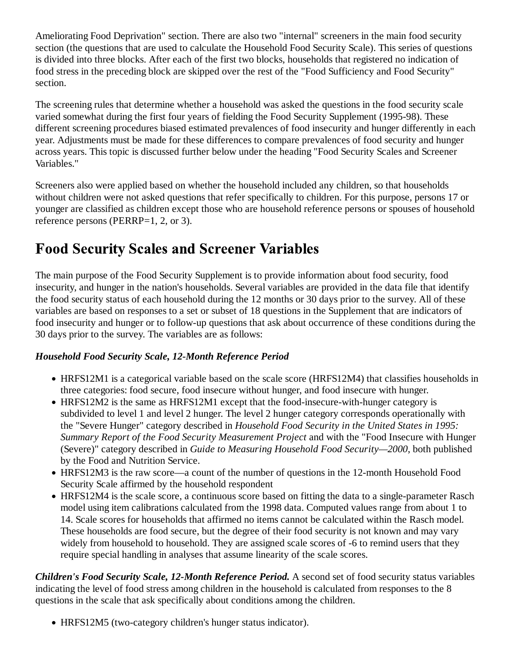Ameliorating Food Deprivation" section. There are also two "internal" screeners in the main food security section (the questions that are used to calculate the Household Food Security Scale). This series of questions is divided into three blocks. After each of the first two blocks, households that registered no indication of food stress in the preceding block are skipped over the rest of the "Food Sufficiency and Food Security" section.

The screening rules that determine whether a household was asked the questions in the food security scale varied somewhat during the first four years of fielding the Food Security Supplement (1995-98). These different screening procedures biased estimated prevalences of food insecurity and hunger differently in each year. Adjustments must be made for these differences to compare prevalences of food security and hunger across years. This topic is discussed further below under the heading "Food Security Scales and Screener Variables."

Screeners also were applied based on whether the household included any children, so that households without children were not asked questions that refer specifically to children. For this purpose, persons 17 or younger are classified as children except those who are household reference persons or spouses of household reference persons (PERRP=1, 2, or 3).

## **Food Security Scales and Screener Variables**

The main purpose of the Food Security Supplement is to provide information about food security, food insecurity, and hunger in the nation's households. Several variables are provided in the data file that identify the food security status of each household during the 12 months or 30 days prior to the survey. All of these variables are based on responses to a set or subset of 18 questions in the Supplement that are indicators of food insecurity and hunger or to follow-up questions that ask about occurrence of these conditions during the 30 days prior to the survey. The variables are as follows:

#### *Household Food Security Scale, 12-Month Reference Period*

- HRFS12M1 is a categorical variable based on the scale score (HRFS12M4) that classifies households in three categories: food secure, food insecure without hunger, and food insecure with hunger.
- HRFS12M2 is the same as HRFS12M1 except that the food-insecure-with-hunger category is subdivided to level 1 and level 2 hunger. The level 2 hunger category corresponds operationally with the "Severe Hunger" category described in *Household Food Security in the United States in 1995: Summary Report of the Food Security Measurement Project* and with the "Food Insecure with Hunger (Severe)" category described in *Guide to Measuring Household Food Security—2000*, both published by the Food and Nutrition Service.
- HRFS12M3 is the raw score—a count of the number of questions in the 12-month Household Food Security Scale affirmed by the household respondent
- HRFS12M4 is the scale score, a continuous score based on fitting the data to a single-parameter Rasch model using item calibrations calculated from the 1998 data. Computed values range from about 1 to 14. Scale scores for households that affirmed no items cannot be calculated within the Rasch model. These households are food secure, but the degree of their food security is not known and may vary widely from household to household. They are assigned scale scores of -6 to remind users that they require special handling in analyses that assume linearity of the scale scores.

*Children's Food Security Scale, 12-Month Reference Period.* A second set of food security status variables indicating the level of food stress among children in the household is calculated from responses to the 8 questions in the scale that ask specifically about conditions among the children.

HRFS12M5 (two-category children's hunger status indicator).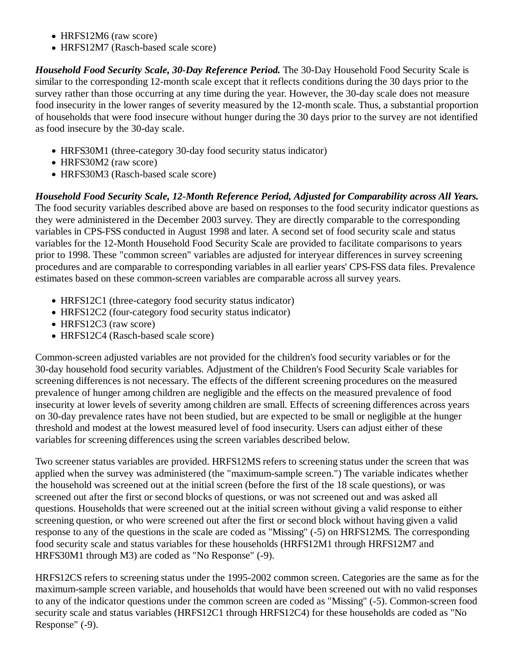- HRFS12M6 (raw score)
- HRFS12M7 (Rasch-based scale score)

*Household Food Security Scale, 30-Day Reference Period.* The 30-Day Household Food Security Scale is similar to the corresponding 12-month scale except that it reflects conditions during the 30 days prior to the survey rather than those occurring at any time during the year. However, the 30-day scale does not measure food insecurity in the lower ranges of severity measured by the 12-month scale. Thus, a substantial proportion of households that were food insecure without hunger during the 30 days prior to the survey are not identified as food insecure by the 30-day scale.

- HRFS30M1 (three-category 30-day food security status indicator)
- HRFS30M2 (raw score)
- HRFS30M3 (Rasch-based scale score)

*Household Food Security Scale, 12-Month Reference Period, Adjusted for Comparability across All Years.* The food security variables described above are based on responses to the food security indicator questions as they were administered in the December 2003 survey. They are directly comparable to the corresponding variables in CPS-FSS conducted in August 1998 and later. A second set of food security scale and status variables for the 12-Month Household Food Security Scale are provided to facilitate comparisons to years prior to 1998. These "common screen" variables are adjusted for interyear differences in survey screening procedures and are comparable to corresponding variables in all earlier years' CPS-FSS data files. Prevalence estimates based on these common-screen variables are comparable across all survey years.

- HRFS12C1 (three-category food security status indicator)
- HRFS12C2 (four-category food security status indicator)
- HRFS12C3 (raw score)
- HRFS12C4 (Rasch-based scale score)

Common-screen adjusted variables are not provided for the children's food security variables or for the 30-day household food security variables. Adjustment of the Children's Food Security Scale variables for screening differences is not necessary. The effects of the different screening procedures on the measured prevalence of hunger among children are negligible and the effects on the measured prevalence of food insecurity at lower levels of severity among children are small. Effects of screening differences across years on 30-day prevalence rates have not been studied, but are expected to be small or negligible at the hunger threshold and modest at the lowest measured level of food insecurity. Users can adjust either of these variables for screening differences using the screen variables described below.

Two screener status variables are provided. HRFS12MS refers to screening status under the screen that was applied when the survey was administered (the "maximum-sample screen.") The variable indicates whether the household was screened out at the initial screen (before the first of the 18 scale questions), or was screened out after the first or second blocks of questions, or was not screened out and was asked all questions. Households that were screened out at the initial screen without giving a valid response to either screening question, or who were screened out after the first or second block without having given a valid response to any of the questions in the scale are coded as "Missing" (-5) on HRFS12MS. The corresponding food security scale and status variables for these households (HRFS12M1 through HRFS12M7 and HRFS30M1 through M3) are coded as "No Response" (-9).

HRFS12CS refers to screening status under the 1995-2002 common screen. Categories are the same as for the maximum-sample screen variable, and households that would have been screened out with no valid responses to any of the indicator questions under the common screen are coded as "Missing" (-5). Common-screen food security scale and status variables (HRFS12C1 through HRFS12C4) for these households are coded as "No Response" (-9).